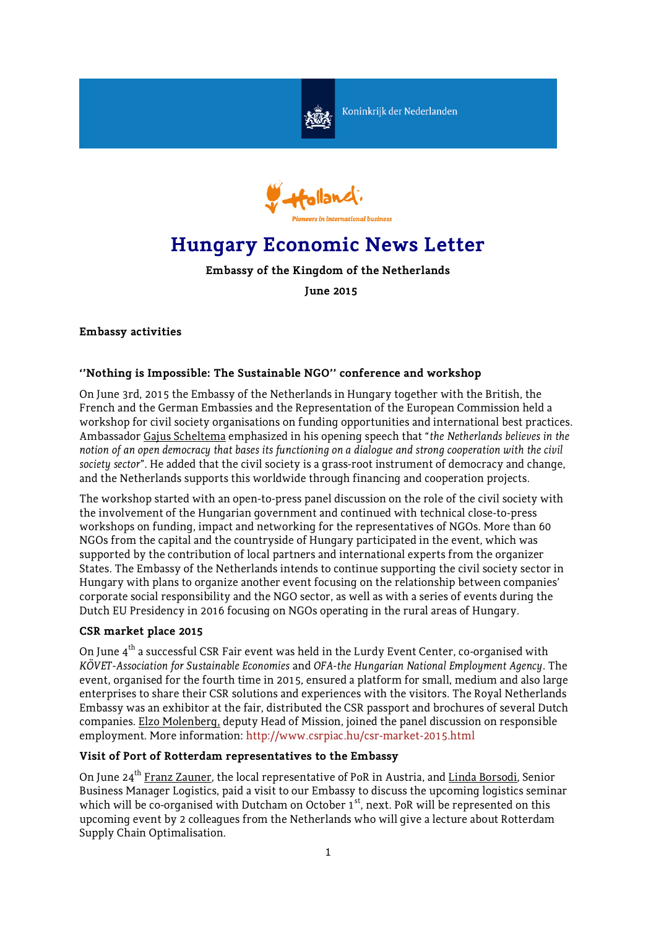

Koninkrijk der Nederlanden



# **Hungary Economic News Letter**

**Embassy of the Kingdom of the Netherlands**

**June 2015**

# **Embassy activities**

# **''Nothing is Impossible: The Sustainable NGO'' conference and workshop**

On June 3rd, 2015 the Embassy of the Netherlands in Hungary together with the British, the French and the German Embassies and the Representation of the European Commission held a workshop for civil society organisations on funding opportunities and international best practices. Ambassador Gajus Scheltema emphasized in his opening speech that "*the Netherlands believes in the notion of an open democracy that bases its functioning on a dialogue and strong cooperation with the civil society sector*". He added that the civil society is a grass-root instrument of democracy and change, and the Netherlands supports this worldwide through financing and cooperation projects.

The workshop started with an open-to-press panel discussion on the role of the civil society with the involvement of the Hungarian government and continued with technical close-to-press workshops on funding, impact and networking for the representatives of NGOs. More than 60 NGOs from the capital and the countryside of Hungary participated in the event, which was supported by the contribution of local partners and international experts from the organizer States. The Embassy of the Netherlands intends to continue supporting the civil society sector in Hungary with plans to organize another event focusing on the relationship between companies' corporate social responsibility and the NGO sector, as well as with a series of events during the Dutch EU Presidency in 2016 focusing on NGOs operating in the rural areas of Hungary.

## **CSR market place 2015**

On June  $4<sup>th</sup>$  a successful CSR Fair event was held in the Lurdy Event Center, co-organised with *KÖVET-Association for Sustainable Economies* and *OFA-the Hungarian National Employment Agency*. The event, organised for the fourth time in 2015, ensured a platform for small, medium and also large enterprises to share their CSR solutions and experiences with the visitors. The Royal Netherlands Embassy was an exhibitor at the fair, distributed the CSR passport and brochures of several Dutch companies. Elzo Molenberg, deputy Head of Mission, joined the panel discussion on responsible employment. More information: <http://www.csrpiac.hu/csr-market-2015.html>

# **Visit of Port of Rotterdam representatives to the Embassy**

On June 24<sup>th</sup> Franz Zauner, the local representative of PoR in Austria, and Linda Borsodi, Senior Business Manager Logistics, paid a visit to our Embassy to discuss the upcoming logistics seminar which will be co-organised with Dutcham on October 1<sup>st</sup>, next. PoR will be represented on this upcoming event by 2 colleagues from the Netherlands who will give a lecture about Rotterdam Supply Chain Optimalisation.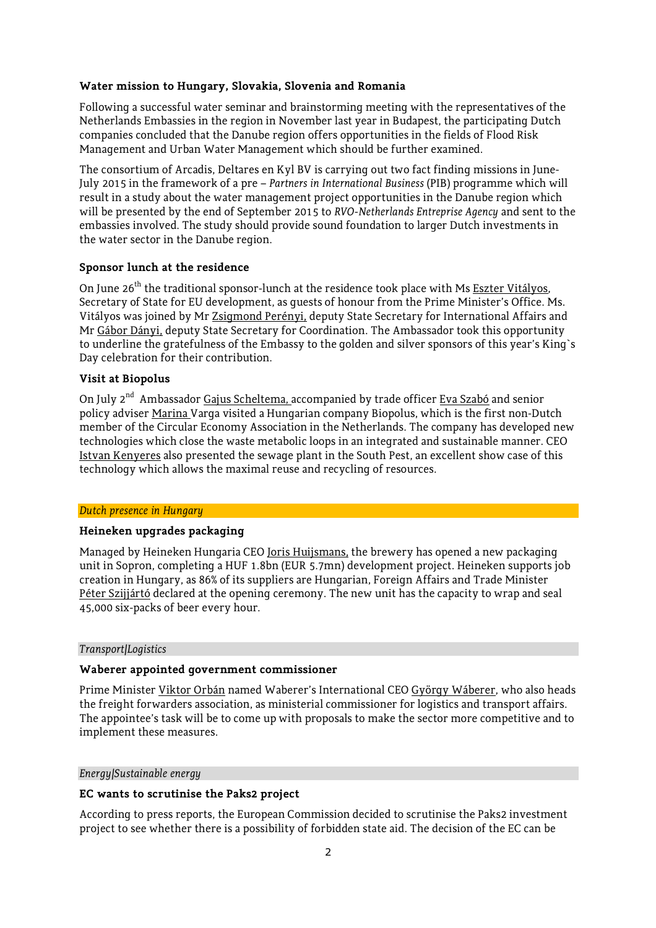## **Water mission to Hungary, Slovakia, Slovenia and Romania**

Following a successful water seminar and brainstorming meeting with the representatives of the Netherlands Embassies in the region in November last year in Budapest, the participating Dutch companies concluded that the Danube region offers opportunities in the fields of Flood Risk Management and Urban Water Management which should be further examined.

The consortium of Arcadis, Deltares en Kyl BV is carrying out two fact finding missions in June-July 2015 in the framework of a pre – *Partners in International Business* (PIB) programme which will result in a study about the water management project opportunities in the Danube region which will be presented by the end of September 2015 to *RVO-Netherlands Entreprise Agency* and sent to the embassies involved. The study should provide sound foundation to larger Dutch investments in the water sector in the Danube region.

## **Sponsor lunch at the residence**

On June 26<sup>th</sup> the traditional sponsor-lunch at the residence took place with Ms Eszter Vitályos, Secretary of State for EU development, as guests of honour from the Prime Minister's Office. Ms. Vitályos was joined by Mr Zsigmond Perényi, deputy State Secretary for International Affairs and Mr Gábor Dányi, deputy State Secretary for Coordination. The Ambassador took this opportunity to underline the gratefulness of the Embassy to the golden and silver sponsors of this year's King`s Day celebration for their contribution.

#### **Visit at Biopolus**

On July 2<sup>nd</sup> Ambassador Gajus Scheltema, accompanied by trade officer Eva Szabó and senior policy adviser Marina Varga visited a Hungarian company Biopolus, which is the first non-Dutch member of the Circular Economy Association in the Netherlands. The company has developed new technologies which close the waste metabolic loops in an integrated and sustainable manner. CEO Istvan Kenyeres also presented the sewage plant in the South Pest, an excellent show case of this technology which allows the maximal reuse and recycling of resources.

#### *Dutch presence in Hungary*

#### **Heineken upgrades packaging**

Managed by Heineken Hungaria CEO Joris Huijsmans, the brewery has opened a new packaging unit in Sopron, completing a HUF 1.8bn (EUR 5.7mn) development project. Heineken supports job creation in Hungary, as 86% of its suppliers are Hungarian, Foreign Affairs and Trade Minister Péter Szijjártó declared at the opening ceremony. The new unit has the capacity to wrap and seal 45,000 six-packs of beer every hour.

#### *Transport/Logistics*

## **Waberer appointed government commissioner**

Prime Minister Viktor Orbán named Waberer's International CEO György Wáberer, who also heads the freight forwarders association, as ministerial commissioner for logistics and transport affairs. The appointee's task will be to come up with proposals to make the sector more competitive and to implement these measures.

#### *Energy/Sustainable energy*

#### **EC wants to scrutinise the Paks2 project**

According to press reports, the European Commission decided to scrutinise the Paks2 investment project to see whether there is a possibility of forbidden state aid. The decision of the EC can be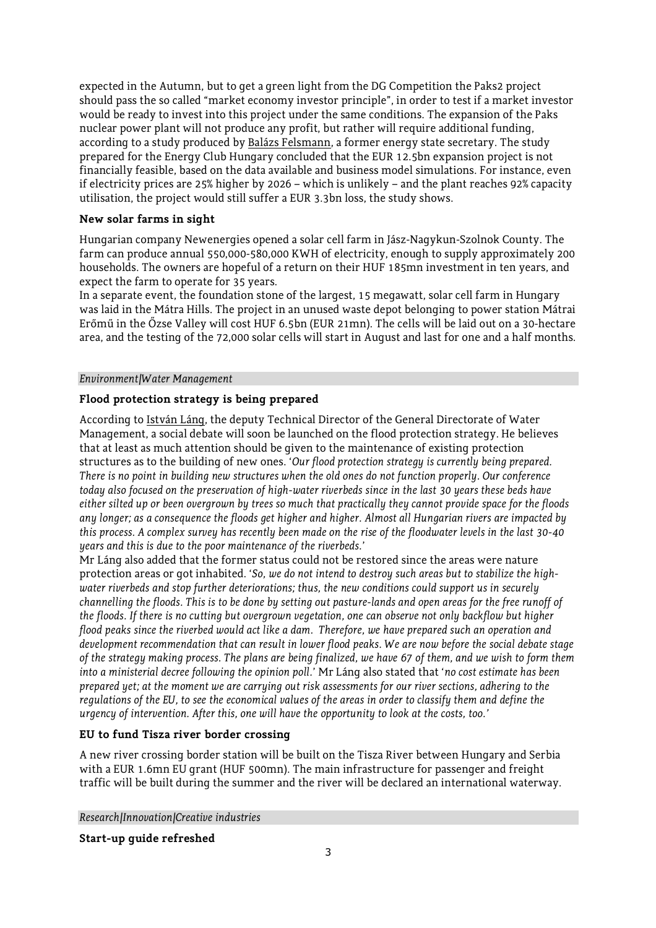expected in the Autumn, but to get a green light from the DG Competition the Paks2 project should pass the so called "market economy investor principle", in order to test if a market investor would be ready to invest into this project under the same conditions. The expansion of the Paks nuclear power plant will not produce any profit, but rather will require additional funding, according to a study produced by Balázs Felsmann, a former energy state secretary. The study prepared for the Energy Club Hungary concluded that the EUR 12.5bn expansion project is not financially feasible, based on the data available and business model simulations. For instance, even if electricity prices are 25% higher by 2026 – which is unlikely – and the plant reaches 92% capacity utilisation, the project would still suffer a EUR 3.3bn loss, the study shows.

# **New solar farms in sight**

Hungarian company Newenergies opened a solar cell farm in Jász-Nagykun-Szolnok County. The farm can produce annual 550,000-580,000 KWH of electricity, enough to supply approximately 200 households. The owners are hopeful of a return on their HUF 185mn investment in ten years, and expect the farm to operate for 35 years.

In a separate event, the foundation stone of the largest, 15 megawatt, solar cell farm in Hungary was laid in the Mátra Hills. The project in an unused waste depot belonging to power station Mátrai Erőmű in the Őzse Valley will cost HUF 6.5bn (EUR 21mn). The cells will be laid out on a 30-hectare area, and the testing of the 72,000 solar cells will start in August and last for one and a half months.

# *Environment/Water Management*

# **Flood protection strategy is being prepared**

According to István Láng, the deputy Technical Director of the General Directorate of Water Management, a social debate will soon be launched on the flood protection strategy. He believes that at least as much attention should be given to the maintenance of existing protection structures as to the building of new ones. '*Our flood protection strategy is currently being prepared. There is no point in building new structures when the old ones do not function properly. Our conference today also focused on the preservation of high-water riverbeds since in the last 30 years these beds have either silted up or been overgrown by trees so much that practically they cannot provide space for the floods any longer; as a consequence the floods get higher and higher. Almost all Hungarian rivers are impacted by this process. A complex survey has recently been made on the rise of the floodwater levels in the last 30-40 years and this is due to the poor maintenance of the riverbeds.*'

Mr Láng also added that the former status could not be restored since the areas were nature protection areas or got inhabited. '*So, we do not intend to destroy such areas but to stabilize the highwater riverbeds and stop further deteriorations; thus, the new conditions could support us in securely channelling the floods. This is to be done by setting out pasture-lands and open areas for the free runoff of the floods. If there is no cutting but overgrown vegetation, one can observe not only backflow but higher flood peaks since the riverbed would act like a dam. Therefore, we have prepared such an operation and development recommendation that can result in lower flood peaks. We are now before the social debate stage of the strategy making process. The plans are being finalized, we have 67 of them, and we wish to form them into a ministerial decree following the opinion poll.*' Mr Láng also stated that '*no cost estimate has been prepared yet; at the moment we are carrying out risk assessments for our river sections, adhering to the regulations of the EU, to see the economical values of the areas in order to classify them and define the urgency of intervention. After this, one will have the opportunity to look at the costs, too.'*

# **EU to fund Tisza river border crossing**

A new river crossing border station will be built on the Tisza River between Hungary and Serbia with a EUR 1.6mn EU grant (HUF 500mn). The main infrastructure for passenger and freight traffic will be built during the summer and the river will be declared an international waterway.

*Research/Innovation/Creative industries*

**Start-up guide refreshed**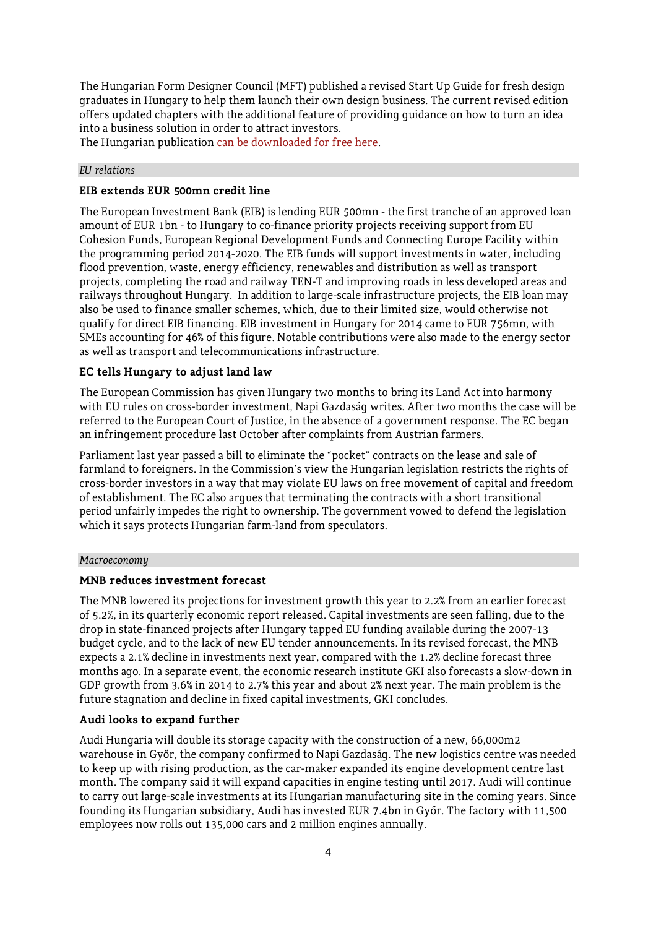The Hungarian Form Designer Council (MFT) published a revised Start Up Guide for fresh design graduates in Hungary to help them launch their own design business. The current revised edition offers updated chapters with the additional feature of providing guidance on how to turn an idea into a business solution in order to attract investors.

The Hungarian publication can be downloaded for free here.

#### *EU relations*

#### **EIB extends EUR 500mn credit line**

The European Investment Bank (EIB) is lending EUR 500mn - the first tranche of an approved loan amount of EUR 1bn - to Hungary to co-finance priority projects receiving support from EU Cohesion Funds, European Regional Development Funds and Connecting Europe Facility within the programming period 2014-2020. The EIB funds will support investments in water, including flood prevention, waste, energy efficiency, renewables and distribution as well as transport projects, completing the road and railway TEN-T and improving roads in less developed areas and railways throughout Hungary. In addition to large-scale infrastructure projects, the EIB loan may also be used to finance smaller schemes, which, due to their limited size, would otherwise not qualify for direct EIB financing. EIB investment in Hungary for 2014 came to EUR 756mn, with SMEs accounting for 46% of this figure. Notable contributions were also made to the energy sector as well as transport and telecommunications infrastructure.

## **EC tells Hungary to adjust land law**

The European Commission has given Hungary two months to bring its Land Act into harmony with EU rules on cross-border investment, Napi Gazdaság writes. After two months the case will be referred to the European Court of Justice, in the absence of a government response. The EC began an infringement procedure last October after complaints from Austrian farmers.

Parliament last year passed a bill to eliminate the "pocket" contracts on the lease and sale of farmland to foreigners. In the Commission's view the Hungarian legislation restricts the rights of cross-border investors in a way that may violate EU laws on free movement of capital and freedom of establishment. The EC also argues that terminating the contracts with a short transitional period unfairly impedes the right to ownership. The government vowed to defend the legislation which it says protects Hungarian farm-land from speculators.

#### *Macroeconomy*

#### **MNB reduces investment forecast**

The MNB lowered its projections for investment growth this year to 2.2% from an earlier forecast of 5.2%, in its quarterly economic report released. Capital investments are seen falling, due to the drop in state-financed projects after Hungary tapped EU funding available during the 2007-13 budget cycle, and to the lack of new EU tender announcements. In its revised forecast, the MNB expects a 2.1% decline in investments next year, compared with the 1.2% decline forecast three months ago. In a separate event, the economic research institute GKI also forecasts a slow-down in GDP growth from 3.6% in 2014 to 2.7% this year and about 2% next year. The main problem is the future stagnation and decline in fixed capital investments, GKI concludes.

## **Audi looks to expand further**

Audi Hungaria will double its storage capacity with the construction of a new, 66,000m2 warehouse in Győr, the company confirmed to Napi Gazdaság. The new logistics centre was needed to keep up with rising production, as the car-maker expanded its engine development centre last month. The company said it will expand capacities in engine testing until 2017. Audi will continue to carry out large-scale investments at its Hungarian manufacturing site in the coming years. Since founding its Hungarian subsidiary, Audi has invested EUR 7.4bn in Győr. The factory with 11,500 employees now rolls out 135,000 cars and 2 million engines annually.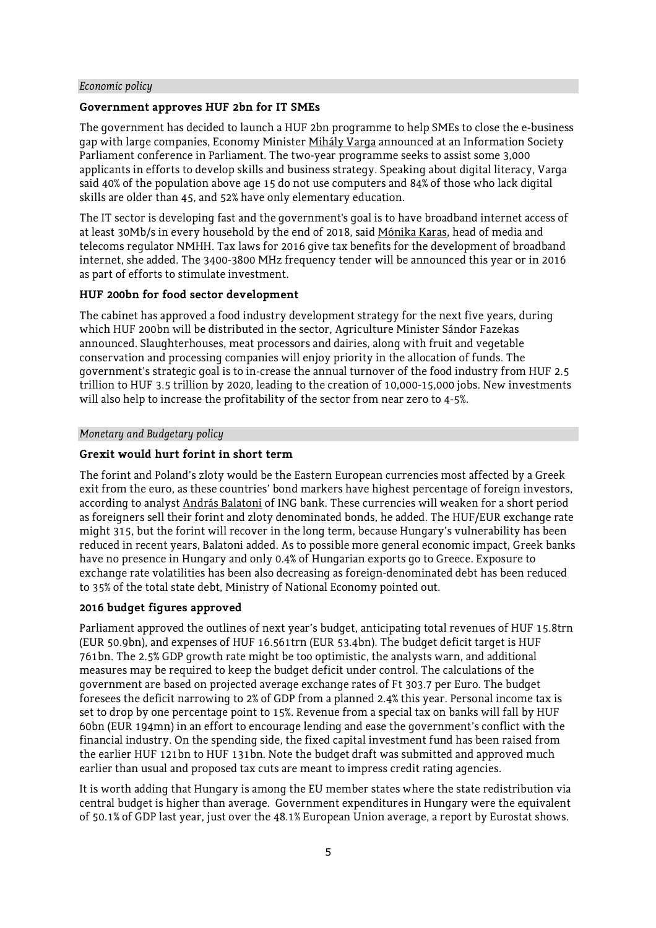#### *Economic policy*

## **Government approves HUF 2bn for IT SMEs**

The government has decided to launch a HUF 2bn programme to help SMEs to close the e-business gap with large companies, Economy Minister Mihály Varga announced at an Information Society Parliament conference in Parliament. The two-year programme seeks to assist some 3,000 applicants in efforts to develop skills and business strategy. Speaking about digital literacy, Varga said 40% of the population above age 15 do not use computers and 84% of those who lack digital skills are older than 45, and 52% have only elementary education.

The IT sector is developing fast and the government's goal is to have broadband internet access of at least 30Mb/s in every household by the end of 2018, said Mónika Karas, head of media and telecoms regulator NMHH. Tax laws for 2016 give tax benefits for the development of broadband internet, she added. The 3400-3800 MHz frequency tender will be announced this year or in 2016 as part of efforts to stimulate investment.

#### **HUF 200bn for food sector development**

The cabinet has approved a food industry development strategy for the next five years, during which HUF 200bn will be distributed in the sector, Agriculture Minister Sándor Fazekas announced. Slaughterhouses, meat processors and dairies, along with fruit and vegetable conservation and processing companies will enjoy priority in the allocation of funds. The government's strategic goal is to in-crease the annual turnover of the food industry from HUF 2.5 trillion to HUF 3.5 trillion by 2020, leading to the creation of 10,000-15,000 jobs. New investments will also help to increase the profitability of the sector from near zero to 4-5%.

#### *Monetary and Budgetary policy*

## **Grexit would hurt forint in short term**

The forint and Poland's zloty would be the Eastern European currencies most affected by a Greek exit from the euro, as these countries' bond markers have highest percentage of foreign investors, according to analyst András Balatoni of ING bank. These currencies will weaken for a short period as foreigners sell their forint and zloty denominated bonds, he added. The HUF/EUR exchange rate might 315, but the forint will recover in the long term, because Hungary's vulnerability has been reduced in recent years, Balatoni added. As to possible more general economic impact, Greek banks have no presence in Hungary and only 0.4% of Hungarian exports go to Greece. Exposure to exchange rate volatilities has been also decreasing as foreign-denominated debt has been reduced to 35% of the total state debt, Ministry of National Economy pointed out.

## **2016 budget figures approved**

Parliament approved the outlines of next year's budget, anticipating total revenues of HUF 15.8trn (EUR 50.9bn), and expenses of HUF 16.561trn (EUR 53.4bn). The budget deficit target is HUF 761bn. The 2.5% GDP growth rate might be too optimistic, the analysts warn, and additional measures may be required to keep the budget deficit under control. The calculations of the government are based on projected average exchange rates of Ft 303.7 per Euro. The budget foresees the deficit narrowing to 2% of GDP from a planned 2.4% this year. Personal income tax is set to drop by one percentage point to 15%. Revenue from a special tax on banks will fall by HUF 60bn (EUR 194mn) in an effort to encourage lending and ease the government's conflict with the financial industry. On the spending side, the fixed capital investment fund has been raised from the earlier HUF 121bn to HUF 131bn. Note the budget draft was submitted and approved much earlier than usual and proposed tax cuts are meant to impress credit rating agencies.

It is worth adding that Hungary is among the EU member states where the state redistribution via central budget is higher than average. Government expenditures in Hungary were the equivalent of 50.1% of GDP last year, just over the 48.1% European Union average, a report by Eurostat shows.